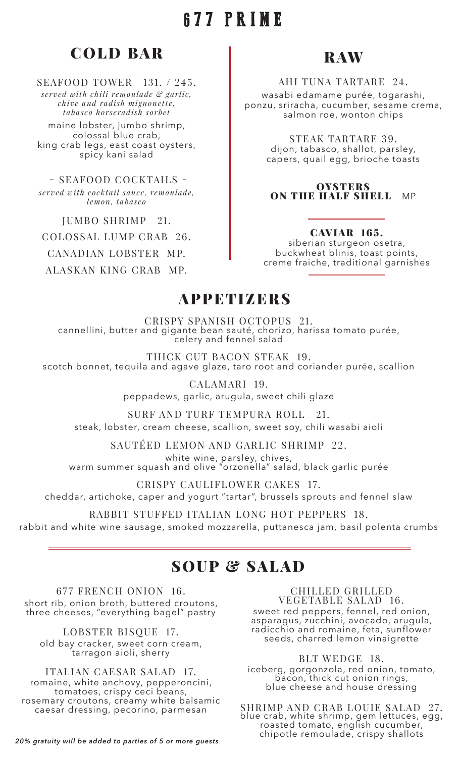### 677 PRIME

### **COLD BAR**

#### SEAFOOD TOWER 131. / 245.

*served with chili remoulade & garlic, chive and radish mignonette, tabasco horseradish sorbet* 

maine lobster, jumbo shrimp, colossal blue crab, king crab legs, east coast oysters, spicy kani salad

 - SEAFOOD COCKTAILS *served with cocktail sauce, remoulade, lemon, tabasco*

JUMBO SHRIMP 21.

COLOSSAL LUMP CRAB 26.

CANADIAN LOBSTER MP.

ALASKAN KING CRAB MP.

### RAW

#### AHI TUNA TARTARE 24.

wasabi edamame purée, togarashi, ponzu, sriracha, cucumber, sesame crema, salmon roe, wonton chips

> STEAK TARTARE 39. dijon, tabasco, shallot, parsley, capers, quail egg, brioche toasts

**OYSTERS** ON THE HALF SHELL MP

#### CAVIAR 165.

siberian sturgeon osetra, buckwheat blinis, toast points, creme fraiche, traditional garnishes

#### **APPETIZERS**

CRISPY SPANISH OCTOPUS 21. cannellini, butter and gigante bean sauté, chorizo, harissa tomato purée, celery and fennel salad

THICK CUT BACON STEAK 19. scotch bonnet, tequila and agave glaze, taro root and coriander purée, scallion

CALAMARI 19.

peppadews, garlic, arugula, sweet chili glaze

SURF AND TURF TEMPURA ROLL 21. steak, lobster, cream cheese, scallion, sweet soy, chili wasabi aioli

SAUTÉED LEMON AND GARLIC SHRIMP 22. white wine, parsley, chives,

warm summer squash and olive "orzonella" salad, black garlic purée

CRISPY CAULIFLOWER CAKES 17. cheddar, artichoke, caper and yogurt "tartar", brussels sprouts and fennel slaw

RABBIT STUFFED ITALIAN LONG HOT PEPPERS 18. rabbit and white wine sausage, smoked mozzarella, puttanesca jam, basil polenta crumbs

### SOUP & SALAD

677 FRENCH ONION 16. short rib, onion broth, buttered croutons, three cheeses, "everything bagel" pastry

LOBSTER BISQUE 17. old bay cracker, sweet corn cream, tarragon aioli, sherry

ITALIAN CAESAR SALAD 17. romaine, white anchovy, pepperoncini, tomatoes, crispy ceci beans, rosemary croutons, creamy white balsamic caesar dressing, pecorino, parmesan

CHILLED GRILLED VEGETABLE SALAD 16.

sweet red peppers, fennel, red onion, asparagus, zucchini, avocado, arugula, radicchio and romaine, feta, sunflower seeds, charred lemon vinaigrette

BLT WEDGE 18.

iceberg, gorgonzola, red onion, tomato, bacon, thick cut onion rings, blue cheese and house dressing

SHRIMP AND CRAB LOUIE SALAD 27. blue crab, white shrimp, gem lettuces, egg, roasted tomato, english cucumber, chipotle remoulade, crispy shallots *20% gratuity will be added to parties of 5 or more guests*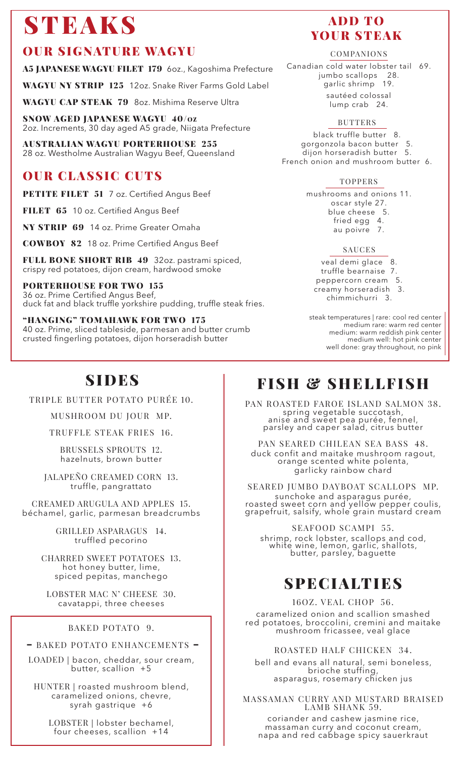## **STEAKS**

### OUR SIGNATURE WAGYU

A5 JAPANESE WAGYU FILET 179 60z., Kagoshima Prefecture

WAGYU NY STRIP 125 12oz. Snake River Farms Gold Label

WAGYU CAP STEAK 79 8oz. Mishima Reserve Ultra

SNOW AGED JAPANESE WAGYU 40/OZ 2oz. Increments, 30 day aged A5 grade, Niigata Prefecture

AUSTRALIAN WAGYU PORTERHOUSE 255 28 oz. Westholme Australian Wagyu Beef, Queensland

### OUR CLASSIC CUTS

PETITE FILET 51 7 oz. Certified Angus Beef

FILET 65 10 oz. Certified Angus Beef

NY STRIP 69 14 oz. Prime Greater Omaha

COWBOY 82 18 oz. Prime Certified Angus Beef

FULL BONE SHORT RIB 49 32oz. pastrami spiced, crispy red potatoes, dijon cream, hardwood smoke

PORTERHOUSE FOR TWO 155 36 oz. Prime Certified Angus Beef, duck fat and black truffle yorkshire pudding, truffle steak fries.

"HANGING" TOMAHAWK FOR TWO 175 40 oz. Prime, sliced tableside, parmesan and butter crumb crusted fingerling potatoes, dijon horseradish butter

#### ADD TO YOUR STEAK

#### COMPANIONS

Canadian cold water lobster tail 69. jumbo scallops 28. garlic shrimp 19. sautéed colossal lump crab 24.

#### BUTTERS

black truffle butter 8. gorgonzola bacon butter 5. dijon horseradish butter 5. French onion and mushroom butter 6.

#### TOPPERS

mushrooms and onions 11. oscar style 27. blue cheese 5. fried egg 4. au poivre 7.

#### SAUCES

veal demi glace 8. truffle bearnaise 7. peppercorn cream 5. creamy horseradish 3. chimmichurri 3.

steak temperatures | rare: cool red center medium rare: warm red center medium: warm reddish pink center medium well: hot pink center well done: gray throughout, no pink

TRIPLE BUTTER POTATO PURÉE 10.

MUSHROOM DU JOUR MP.

TRUFFLE STEAK FRIES 16.

BRUSSELS SPROUTS 12. hazelnuts, brown butter

JALAPEÑO CREAMED CORN 13. truffle, pangrattato

CREAMED ARUGULA AND APPLES 15. béchamel, garlic, parmesan breadcrumbs

> GRILLED ASPARAGUS 14. truffled pecorino

CHARRED SWEET POTATOES 13. hot honey butter, lime, spiced pepitas, manchego

LOBSTER MAC N' CHEESE 30. cavatappi, three cheeses

#### BAKED POTATO 9.

– BAKED POTATO ENHANCEMENTS –

LOADED | bacon, cheddar, sour cream, butter, scallion +5

HUNTER | roasted mushroom blend, caramelized onions, chevre, syrah gastrique +6

LOBSTER | lobster bechamel, four cheeses, scallion +14

## SIDES **FISH & SHELLFISH**

PAN ROASTED FAROE ISLAND SALMON 38. spring vegetable succotash, anise and sweet pea purée, fennel, parsley and caper salad, citrus butter

PAN SEARED CHILEAN SEA BASS 48. duck confit and maitake mushroom ragout, orange scented white polenta, garlicky rainbow chard

SEARED JUMBO DAYBOAT SCALLOPS MP. sunchoke and asparagus purée, roasted sweet corn and yellow pepper coulis, grapefruit, salsify, whole grain mustard cream

SEAFOOD SCAMPI 55. shrimp, rock lobster, scallops and cod, white wine, lemon, garlic, shallots, butter, parsley, baguette

### SPECIALTIES

16OZ. VEAL CHOP 56.

caramelized onion and scallion smashed red potatoes, broccolini, cremini and maitake mushroom fricassee, veal glace

ROASTED HALF CHICKEN 34.

bell and evans all natural, semi boneless, brioche stuffing, asparagus, rosemary chicken jus

MASSAMAN CURRY AND MUSTARD BRAISED LAMB SHANK 59.

coriander and cashew jasmine rice, massaman curry and coconut cream, napa and red cabbage spicy sauerkraut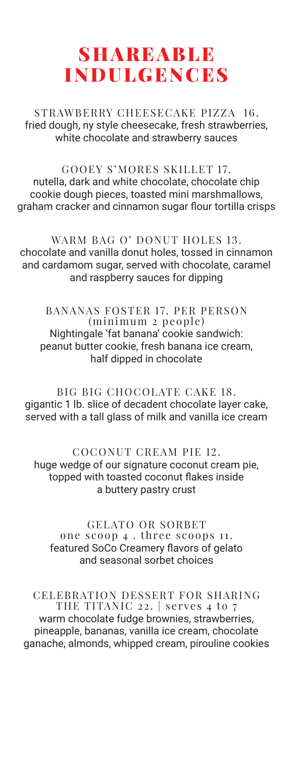### SHAREABLE INDULGENCES

STRAWBERRY CHEESECAKE PIZZA 16. fried dough, ny style cheesecake, fresh strawberries, white chocolate and strawberry sauces

GOOEY S'MORES SKILLET 17. nutella, dark and white chocolate, chocolate chip cookie dough pieces, toasted mini marshmallows, graham cracker and cinnamon sugar flour tortilla crisps

WARM BAG O' DONUT HOLES 13. chocolate and vanilla donut holes, tossed in cinnamon and cardamom sugar, served with chocolate, caramel and raspberry sauces for dipping

BANANAS FOSTER 17. PER PERSON (minimum 2 people) Nightingale 'fat banana' cookie sandwich: peanut butter cookie, fresh banana ice cream, half dipped in chocolate

BIG BIG CHOCOLATE CAKE 18. gigantic 1 lb. slice of decadent chocolate layer cake, served with a tall glass of milk and vanilla ice cream

COCONUT CREAM PIE 12. huge wedge of our signature coconut cream pie, topped with toasted coconut flakes inside a buttery pastry crust

GELATO OR SORBET one scoop 4 . three scoops 11. featured SoCo Creamery flavors of gelato and seasonal sorbet choices

CELEBRATION DESSERT FOR SHARING THE TITANIC 22. | serves 4 to 7 warm chocolate fudge brownies, strawberries, pineapple, bananas, vanilla ice cream, chocolate ganache, almonds, whipped cream, pirouline cookies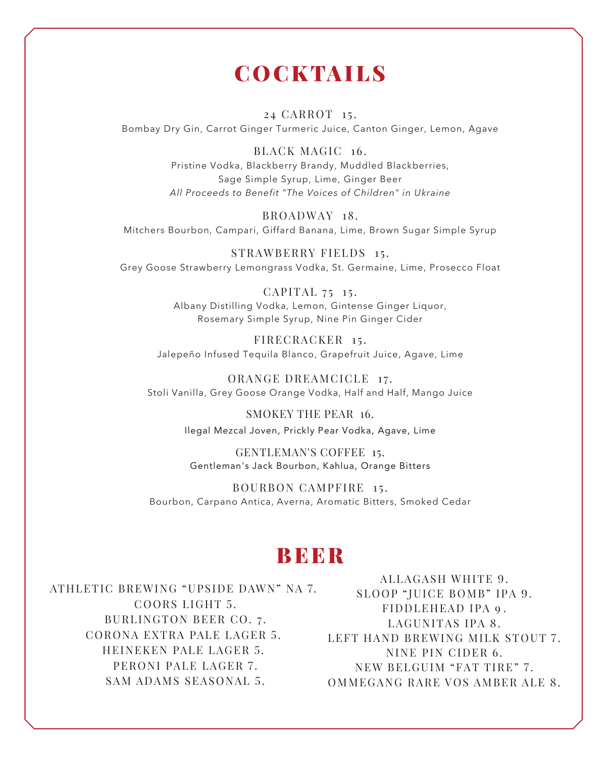### **COCKTAILS**

24 CARROT 15. Bombay Dry Gin, Carrot Ginger Turmeric Juice, Canton Ginger, Lemon, Agave

> BLACK MAGIC 16. Pristine Vodka, Blackberry Brandy, Muddled Blackberries, Sage Simple Syrup, Lime, Ginger Beer *All Proceeds to Benefit "The Voices of Children" in Ukraine*

BROADWAY 18. Mitchers Bourbon, Campari, Giffard Banana, Lime, Brown Sugar Simple Syrup

STRAWBERRY FIELDS 15. Grey Goose Strawberry Lemongrass Vodka, St. Germaine, Lime, Prosecco Float

> CAPITAL 75 15. Albany Distilling Vodka, Lemon, Gintense Ginger Liquor, Rosemary Simple Syrup, Nine Pin Ginger Cider

FIRECRACKER 15. Jalepeño Infused Tequila Blanco, Grapefruit Juice, Agave, Lime

ORANGE DREAMCICLE 17. Stoli Vanilla, Grey Goose Orange Vodka, Half and Half, Mango Juice

> SMOKEY THE PEAR 16. Ilegal Mezcal Joven, Prickly Pear Vodka, Agave, Lime

GENTLEMAN'S COFFEE 15. Gentleman's Jack Bourbon, Kahlua, Orange Bitters

BOURBON CAMPFIRE 15. Bourbon, Carpano Antica, Averna, Aromatic Bitters, Smoked Cedar

#### **BEER**

ATHLETIC BREWING "UPSIDE DAWN" NA 7. COORS LIGHT 5. BURLINGTON BEER CO. 7. C ORONA EXTRA PALE LAGER 5. HEINEKEN PALE LAGER 5. PERONI PALE LAGER 7. SAM ADAMS SEASONAL 5.

ALLAGASH WHITE 9. SLOOP "JUICE BOMB" IPA 9. FIDDLEHEAD IPA 9. LAGUNITAS IPA 8. LEFT HAND BREWING MILK STOUT 7. NINE PIN CIDER 6. NEW BELGUIM "FAT TIRE" 7 . OMMEGANG RARE VOS AMBER ALE 8.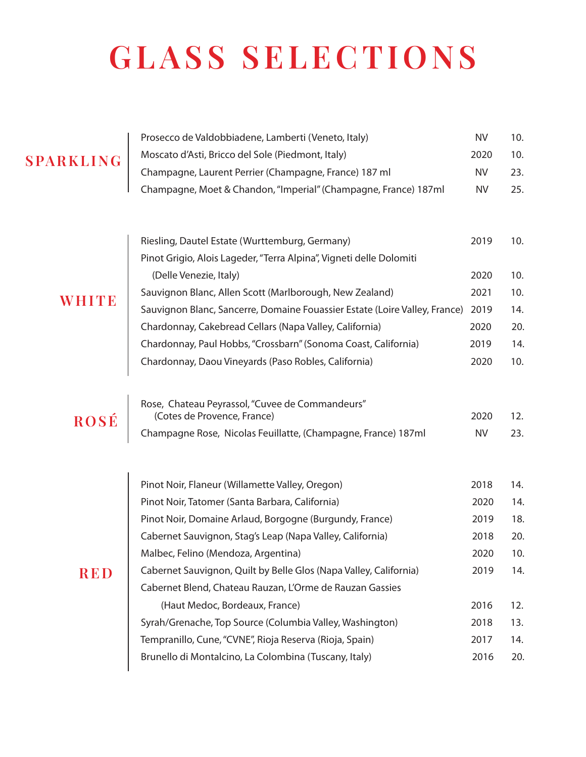# **GLASS SELECTIONS**

Prosecco de Valdobbiadene, Lamberti (Veneto, Italy) NV 10.

#### **SPARKLING**

| <b>SPARKLING</b> | Moscato d'Asti, Bricco del Sole (Piedmont, Italy)                                                                                     | 2020      | 10. |
|------------------|---------------------------------------------------------------------------------------------------------------------------------------|-----------|-----|
|                  | Champagne, Laurent Perrier (Champagne, France) 187 ml                                                                                 | <b>NV</b> | 23. |
|                  | Champagne, Moet & Chandon, "Imperial" (Champagne, France) 187ml                                                                       | <b>NV</b> | 25. |
|                  | Riesling, Dautel Estate (Wurttemburg, Germany)                                                                                        | 2019      | 10. |
|                  | Pinot Grigio, Alois Lageder, "Terra Alpina", Vigneti delle Dolomiti<br>(Delle Venezie, Italy)                                         | 2020      | 10. |
|                  |                                                                                                                                       | 2021      | 10. |
| WHITE            | Sauvignon Blanc, Allen Scott (Marlborough, New Zealand)<br>Sauvignon Blanc, Sancerre, Domaine Fouassier Estate (Loire Valley, France) | 2019      | 14. |
|                  | Chardonnay, Cakebread Cellars (Napa Valley, California)                                                                               | 2020      | 20. |
|                  | Chardonnay, Paul Hobbs, "Crossbarn" (Sonoma Coast, California)                                                                        | 2019      | 14. |
|                  | Chardonnay, Daou Vineyards (Paso Robles, California)                                                                                  | 2020      | 10. |
|                  | Rose, Chateau Peyrassol, "Cuvee de Commandeurs"                                                                                       |           |     |
| <b>ROSÉ</b>      | (Cotes de Provence, France)                                                                                                           | 2020      | 12. |
|                  | Champagne Rose, Nicolas Feuillatte, (Champagne, France) 187ml                                                                         | <b>NV</b> | 23. |
|                  | Pinot Noir, Flaneur (Willamette Valley, Oregon)                                                                                       | 2018      | 14. |
|                  | Pinot Noir, Tatomer (Santa Barbara, California)                                                                                       | 2020      | 14. |
|                  | Pinot Noir, Domaine Arlaud, Borgogne (Burgundy, France)                                                                               | 2019      | 18. |
|                  | Cabernet Sauvignon, Stag's Leap (Napa Valley, California)                                                                             | 2018      | 20. |
|                  | Malbec, Felino (Mendoza, Argentina)                                                                                                   | 2020      | 10. |
| RED              | Cabernet Sauvignon, Quilt by Belle Glos (Napa Valley, California)                                                                     | 2019      | 14. |
|                  | Cabernet Blend, Chateau Rauzan, L'Orme de Rauzan Gassies                                                                              |           |     |
|                  | (Haut Medoc, Bordeaux, France)                                                                                                        | 2016      | 12. |
|                  | Syrah/Grenache, Top Source (Columbia Valley, Washington)                                                                              | 2018      | 13. |
|                  | Tempranillo, Cune, "CVNE", Rioja Reserva (Rioja, Spain)                                                                               | 2017      | 14. |
|                  | Brunello di Montalcino, La Colombina (Tuscany, Italy)                                                                                 | 2016      | 20. |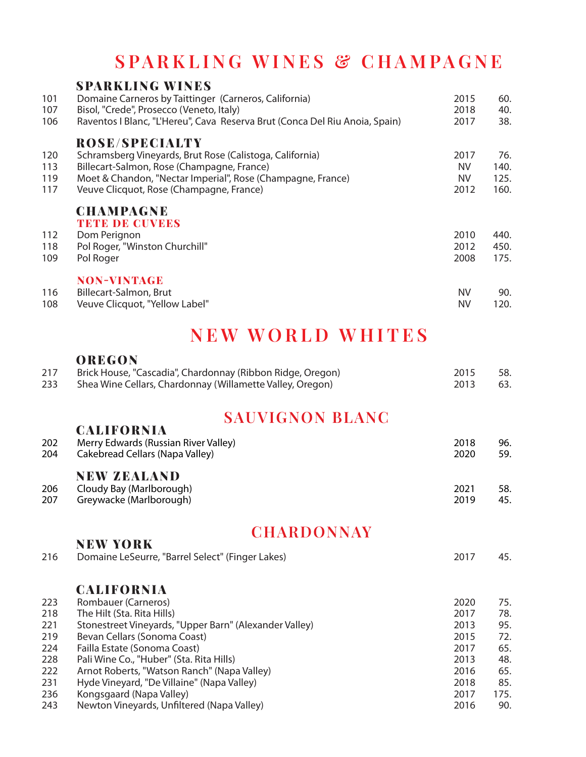### **SPARKLING WINES & CHAMPAGNE**

|     | <b>SPARKLING WINES</b>                                                      |           |      |
|-----|-----------------------------------------------------------------------------|-----------|------|
| 101 | Domaine Carneros by Taittinger (Carneros, California)                       | 2015      | 60.  |
| 107 | Bisol, "Crede", Prosecco (Veneto, Italy)                                    | 2018      | 40.  |
| 106 | Raventos I Blanc, "L'Hereu", Cava Reserva Brut (Conca Del Riu Anoia, Spain) | 2017      | 38.  |
|     | <b>ROSE/SPECIALTY</b>                                                       |           |      |
| 120 | Schramsberg Vineyards, Brut Rose (Calistoga, California)                    | 2017      | 76.  |
| 113 | Billecart-Salmon, Rose (Champagne, France)                                  | <b>NV</b> | 140. |
| 119 | Moet & Chandon, "Nectar Imperial", Rose (Champagne, France)                 | <b>NV</b> | 125. |
| 117 | Veuve Clicquot, Rose (Champagne, France)                                    | 2012      | 160. |
|     | <b>CHAMPAGNE</b>                                                            |           |      |
|     | <b>TETE DE GUVEES</b>                                                       |           |      |
| 112 | Dom Perignon                                                                | 2010      | 440. |
| 118 | Pol Roger, "Winston Churchill"                                              | 2012      | 450. |
| 109 | Pol Roger                                                                   | 2008      | 175. |
|     | <b>NON-VINTAGE</b>                                                          |           |      |
| 116 | Billecart-Salmon, Brut                                                      | NV        | 90.  |
| 108 | Veuve Clicquot, "Yellow Label"                                              | NV        | 120. |

### **NEW WORLD WHITES**

#### **OREGON**

NEW YORK

| 217 | Brick House, "Cascadia", Chardonnay (Ribbon Ridge, Oregon) | 2015 | -58.  |
|-----|------------------------------------------------------------|------|-------|
| 233 | Shea Wine Cellars, Chardonnay (Willamette Valley, Oregon)  | 2013 | - 63. |

### **SAUVIGNON BLANC**

| 202<br>204 | UALIFORNIA<br>Merry Edwards (Russian River Valley)<br>Cakebread Cellars (Napa Valley) | 2018<br>2020 | 96.<br>59. |
|------------|---------------------------------------------------------------------------------------|--------------|------------|
|            | <b>NEW ZEALAND</b>                                                                    |              |            |
| 206<br>207 | Cloudy Bay (Marlborough)<br>Greywacke (Marlborough)                                   | 2021<br>2019 | 58.<br>45. |

#### **CHARDONNAY**

| Domaine LeSeurre, "Barrel Select" (Finger Lakes)       | 2017 | 45.  |
|--------------------------------------------------------|------|------|
| <b>CALIFORNIA</b>                                      |      |      |
| Rombauer (Carneros)                                    | 2020 | 75.  |
| The Hilt (Sta. Rita Hills)                             | 2017 | 78.  |
| Stonestreet Vineyards, "Upper Barn" (Alexander Valley) | 2013 | 95.  |
| Bevan Cellars (Sonoma Coast)                           | 2015 | 72.  |
| Failla Estate (Sonoma Coast)                           | 2017 | 65.  |
| Pali Wine Co., "Huber" (Sta. Rita Hills)               | 2013 | 48.  |
| Arnot Roberts, "Watson Ranch" (Napa Valley)            | 2016 | 65.  |
| Hyde Vineyard, "De Villaine" (Napa Valley)             | 2018 | 85.  |
| Kongsgaard (Napa Valley)                               | 2017 | 175. |
| Newton Vineyards, Unfiltered (Napa Valley)             | 2016 | 90.  |
|                                                        |      |      |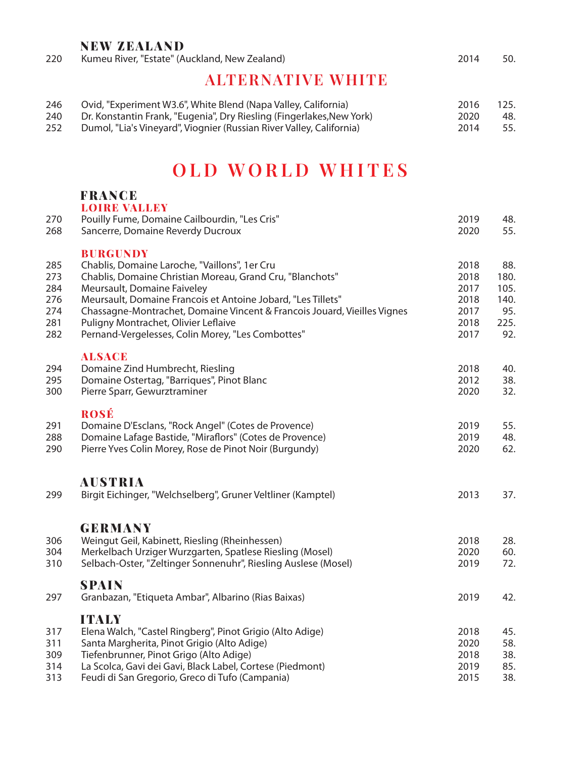#### NEW ZEALAND

| 220 | Kumeu River, "Estate" (Auckland, New Zealand) |  |  | 2014 | 50. |
|-----|-----------------------------------------------|--|--|------|-----|
|-----|-----------------------------------------------|--|--|------|-----|

#### **ALTERNATIVE WHITE**

| 246 | Ovid, "Experiment W3.6", White Blend (Napa Valley, California)        | 2016 | 125. |
|-----|-----------------------------------------------------------------------|------|------|
| 240 | Dr. Konstantin Frank, "Eugenia", Dry Riesling (Fingerlakes, New York) | 2020 | -48. |
| 252 | Dumol, "Lia's Vineyard", Viognier (Russian River Valley, California)  | 2014 | 55.  |

### **OLD WORLD WHITES**

#### FRANCE

| 270<br>268                                    | <b>LOIRE VALLEY</b><br>Pouilly Fume, Domaine Cailbourdin, "Les Cris"<br>Sancerre, Domaine Reverdy Ducroux                                                                                                                                                                                                                                                                                             | 2019<br>2020                                         | 48.<br>55.                                        |
|-----------------------------------------------|-------------------------------------------------------------------------------------------------------------------------------------------------------------------------------------------------------------------------------------------------------------------------------------------------------------------------------------------------------------------------------------------------------|------------------------------------------------------|---------------------------------------------------|
| 285<br>273<br>284<br>276<br>274<br>281<br>282 | <b>BURGUNDY</b><br>Chablis, Domaine Laroche, "Vaillons", 1er Cru<br>Chablis, Domaine Christian Moreau, Grand Cru, "Blanchots"<br>Meursault, Domaine Faiveley<br>Meursault, Domaine Francois et Antoine Jobard, "Les Tillets"<br>Chassagne-Montrachet, Domaine Vincent & Francois Jouard, Vieilles Vignes<br>Puligny Montrachet, Olivier Leflaive<br>Pernand-Vergelesses, Colin Morey, "Les Combottes" | 2018<br>2018<br>2017<br>2018<br>2017<br>2018<br>2017 | 88.<br>180.<br>105.<br>140.<br>95.<br>225.<br>92. |
| 294<br>295<br>300                             | <b>ALSACE</b><br>Domaine Zind Humbrecht, Riesling<br>Domaine Ostertag, "Barriques", Pinot Blanc<br>Pierre Sparr, Gewurztraminer                                                                                                                                                                                                                                                                       | 2018<br>2012<br>2020                                 | 40.<br>38.<br>32.                                 |
| 291<br>288<br>290                             | <b>ROSÉ</b><br>Domaine D'Esclans, "Rock Angel" (Cotes de Provence)<br>Domaine Lafage Bastide, "Miraflors" (Cotes de Provence)<br>Pierre Yves Colin Morey, Rose de Pinot Noir (Burgundy)                                                                                                                                                                                                               | 2019<br>2019<br>2020                                 | 55.<br>48.<br>62.                                 |
| 299                                           | <b>AUSTRIA</b><br>Birgit Eichinger, "Welchselberg", Gruner Veltliner (Kamptel)                                                                                                                                                                                                                                                                                                                        | 2013                                                 | 37.                                               |
| 306<br>304<br>310                             | <b>GERMANY</b><br>Weingut Geil, Kabinett, Riesling (Rheinhessen)<br>Merkelbach Urziger Wurzgarten, Spatlese Riesling (Mosel)<br>Selbach-Oster, "Zeltinger Sonnenuhr", Riesling Auslese (Mosel)                                                                                                                                                                                                        | 2018<br>2020<br>2019                                 | 28.<br>60.<br>72.                                 |
| 297                                           | <b>SPAIN</b><br>Granbazan, "Etiqueta Ambar", Albarino (Rias Baixas)                                                                                                                                                                                                                                                                                                                                   | 2019                                                 | 42.                                               |
| 317<br>311<br>309<br>314<br>313               | <b>ITALY</b><br>Elena Walch, "Castel Ringberg", Pinot Grigio (Alto Adige)<br>Santa Margherita, Pinot Grigio (Alto Adige)<br>Tiefenbrunner, Pinot Grigo (Alto Adige)<br>La Scolca, Gavi dei Gavi, Black Label, Cortese (Piedmont)<br>Feudi di San Gregorio, Greco di Tufo (Campania)                                                                                                                   | 2018<br>2020<br>2018<br>2019<br>2015                 | 45.<br>58.<br>38.<br>85.<br>38.                   |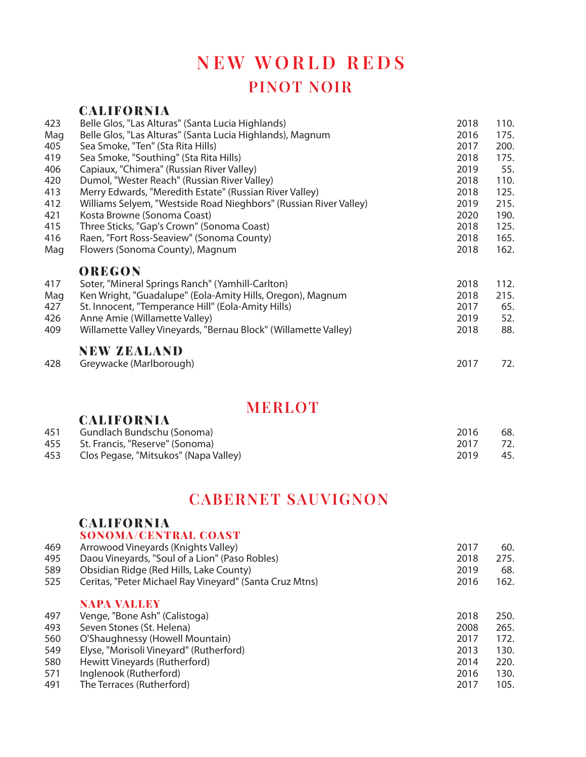### **NEW WORLD REDS PINOT NOIR**

#### CALIFORNIA Belle Glos, "Las Alturas" (Santa Lucia Highlands) 2018 110. Mag Belle Glos, "Las Alturas" (Santa Lucia Highlands), Magnum 2016 175. Sea Smoke, "Ten" (Sta Rita Hills) 2017 200. Sea Smoke, "Southing" (Sta Rita Hills) 2018 175. Capiaux, "Chimera" (Russian River Valley) 2019 55. Dumol, "Wester Reach" (Russian River Valley) 2018 110. Merry Edwards, "Meredith Estate" (Russian River Valley) 2018 125. Williams Selyem, "Westside Road Nieghbors" (Russian River Valley) 2019 215. Kosta Browne (Sonoma Coast) 2020 190. Three Sticks, "Gap's Crown" (Sonoma Coast) 2018 125. Raen, "Fort Ross-Seaview" (Sonoma County) 2018 165. Mag Flowers (Sonoma County), Magnum 2018 162. OREGON Soter, "Mineral Springs Ranch" (Yamhill-Carlton) 2018 112. Mag Ken Wright, "Guadalupe" (Eola-Amity Hills, Oregon), Magnum 2018 2018 215. St. Innocent, "Temperance Hill" (Eola-Amity Hills) 2017 65. Anne Amie (Willamette Valley) 2019 52. 409 Willamette Valley Vineyards, "Bernau Block" (Willamette Valley) 2018 2018 88. NEW ZEALAND Greywacke (Marlborough) 2017 72.

#### **MERLOT**

| <u>UALIRVANIA</u>          |                                                                          |     |
|----------------------------|--------------------------------------------------------------------------|-----|
| Gundlach Bundschu (Sonoma) | 2016                                                                     | 68. |
|                            | 2017                                                                     | 72. |
|                            | 2019                                                                     | 45. |
|                            | St. Francis, "Reserve" (Sonoma)<br>Clos Pegase, "Mitsukos" (Napa Valley) |     |

#### **CABERNET SAUVIGNON**

#### CALIFORNIA **SONOMA/CENTRAL COAST**

**CALIEADNIA** 

|     | SUNUMA/GENTRAL GUAST                                    |      |      |
|-----|---------------------------------------------------------|------|------|
| 469 | Arrowood Vineyards (Knights Valley)                     | 2017 | 60.  |
| 495 | Daou Vineyards, "Soul of a Lion" (Paso Robles)          | 2018 | 275. |
| 589 | Obsidian Ridge (Red Hills, Lake County)                 | 2019 | 68.  |
| 525 | Ceritas, "Peter Michael Ray Vineyard" (Santa Cruz Mtns) | 2016 | 162. |
|     | <b>NAPA VALLEY</b>                                      |      |      |
| 497 | Venge, "Bone Ash" (Calistoga)                           | 2018 | 250. |
| 493 | Seven Stones (St. Helena)                               | 2008 | 265. |
| 560 | O'Shaughnessy (Howell Mountain)                         | 2017 | 172. |
| 549 | Elyse, "Morisoli Vineyard" (Rutherford)                 | 2013 | 130. |
| 580 | Hewitt Vineyards (Rutherford)                           | 2014 | 220. |
| 571 | Inglenook (Rutherford)                                  | 2016 | 130. |
| 491 | The Terraces (Rutherford)                               | 2017 | 105. |
|     |                                                         |      |      |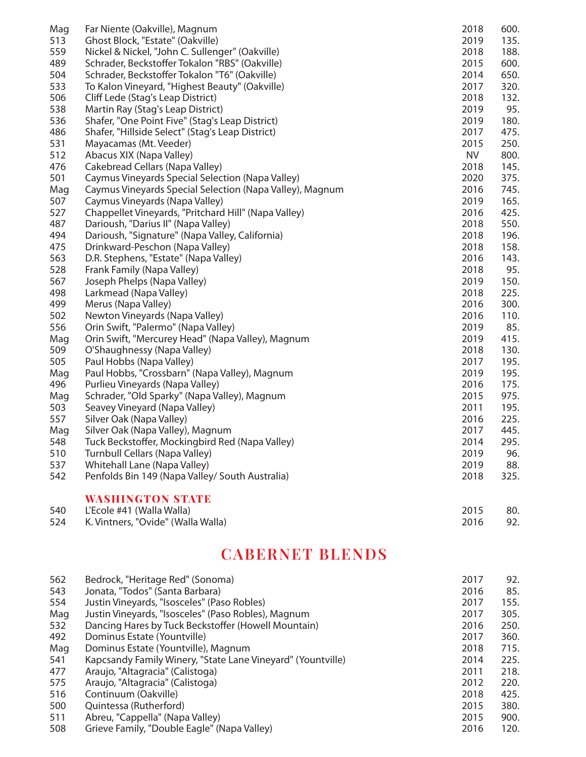| Mag | Far Niente (Oakville), Magnum                            | 2018      | 600. |
|-----|----------------------------------------------------------|-----------|------|
| 513 | Ghost Block, "Estate" (Oakville)                         | 2019      | 135. |
| 559 | Nickel & Nickel, "John C. Sullenger" (Oakville)          | 2018      | 188. |
| 489 | Schrader, Beckstoffer Tokalon "RBS" (Oakville)           | 2015      | 600. |
| 504 | Schrader, Beckstoffer Tokalon "T6" (Oakville)            | 2014      | 650. |
| 533 | To Kalon Vineyard, "Highest Beauty" (Oakville)           | 2017      | 320. |
| 506 | Cliff Lede (Stag's Leap District)                        | 2018      | 132. |
| 538 | Martin Ray (Stag's Leap District)                        | 2019      | 95.  |
| 536 | Shafer, "One Point Five" (Stag's Leap District)          | 2019      | 180. |
| 486 | Shafer, "Hillside Select" (Stag's Leap District)         | 2017      | 475. |
| 531 | Mayacamas (Mt. Veeder)                                   | 2015      | 250. |
| 512 | Abacus XIX (Napa Valley)                                 | <b>NV</b> | 800. |
| 476 | Cakebread Cellars (Napa Valley)                          | 2018      | 145. |
| 501 | Caymus Vineyards Special Selection (Napa Valley)         | 2020      | 375. |
| Mag | Caymus Vineyards Special Selection (Napa Valley), Magnum | 2016      | 745. |
| 507 | Caymus Vineyards (Napa Valley)                           | 2019      | 165. |
| 527 | Chappellet Vineyards, "Pritchard Hill" (Napa Valley)     | 2016      | 425. |
| 487 | Darioush, "Darius II" (Napa Valley)                      | 2018      | 550. |
| 494 | Darioush, "Signature" (Napa Valley, California)          | 2018      | 196. |
| 475 | Drinkward-Peschon (Napa Valley)                          | 2018      | 158. |
| 563 | D.R. Stephens, "Estate" (Napa Valley)                    | 2016      | 143. |
| 528 | Frank Family (Napa Valley)                               | 2018      | 95.  |
| 567 | Joseph Phelps (Napa Valley)                              | 2019      | 150. |
| 498 | Larkmead (Napa Valley)                                   | 2018      | 225. |
| 499 | Merus (Napa Valley)                                      | 2016      | 300. |
| 502 | Newton Vineyards (Napa Valley)                           | 2016      | 110. |
| 556 | Orin Swift, "Palermo" (Napa Valley)                      | 2019      | 85.  |
| Mag | Orin Swift, "Mercurey Head" (Napa Valley), Magnum        | 2019      | 415. |
| 509 | O'Shaughnessy (Napa Valley)                              | 2018      | 130. |
| 505 | Paul Hobbs (Napa Valley)                                 | 2017      | 195. |
| Mag | Paul Hobbs, "Crossbarn" (Napa Valley), Magnum            | 2019      | 195. |
| 496 | Purlieu Vineyards (Napa Valley)                          | 2016      | 175. |
| Mag | Schrader, "Old Sparky" (Napa Valley), Magnum             | 2015      | 975. |
| 503 | Seavey Vineyard (Napa Valley)                            | 2011      | 195. |
| 557 | Silver Oak (Napa Valley)                                 | 2016      | 225. |
| Mag | Silver Oak (Napa Valley), Magnum                         | 2017      | 445. |
| 548 | Tuck Beckstoffer, Mockingbird Red (Napa Valley)          | 2014      | 295. |
| 510 | Turnbull Cellars (Napa Valley)                           | 2019      | 96.  |
| 537 | Whitehall Lane (Napa Valley)                             | 2019      | 88.  |
| 542 | Penfolds Bin 149 (Napa Valley/ South Australia)          | 2018      | 325. |
|     | <b>WASHINGTON STATE</b>                                  |           |      |
| 540 | L'Ecole #41 (Walla Walla)                                | 2015      | 80.  |

| ◡⊤◡ | $L$ L L C $U$ $\Gamma$ $\Gamma$ $\Gamma$ $\Gamma$ $\gamma$ $\gamma$ and $\gamma$ $\gamma$ and $\gamma$ | 20 I J | . ov |
|-----|--------------------------------------------------------------------------------------------------------|--------|------|
| 524 | K. Vintners, "Ovide" (Walla Walla)                                                                     | 2016   | 92.  |

### **CABERNET BLENDS**

| 562 | Bedrock, "Heritage Red" (Sonoma)                            | 2017 | 92.  |
|-----|-------------------------------------------------------------|------|------|
| 543 | Jonata, "Todos" (Santa Barbara)                             | 2016 | 85.  |
| 554 | Justin Vineyards, "Isosceles" (Paso Robles)                 | 2017 | 155. |
| Mag | Justin Vineyards, "Isosceles" (Paso Robles), Magnum         | 2017 | 305. |
| 532 | Dancing Hares by Tuck Beckstoffer (Howell Mountain)         | 2016 | 250. |
| 492 | Dominus Estate (Yountville)                                 | 2017 | 360. |
| Mag | Dominus Estate (Yountville), Magnum                         | 2018 | 715. |
| 541 | Kapcsandy Family Winery, "State Lane Vineyard" (Yountville) | 2014 | 225. |
| 477 | Araujo, "Altagracia" (Calistoga)                            | 2011 | 218. |
| 575 | Araujo, "Altagracia" (Calistoga)                            | 2012 | 220. |
| 516 | Continuum (Oakville)                                        | 2018 | 425. |
| 500 | Quintessa (Rutherford)                                      | 2015 | 380. |
| 511 | Abreu, "Cappella" (Napa Valley)                             | 2015 | 900. |
| 508 | Grieve Family, "Double Eagle" (Napa Valley)                 | 2016 | 120. |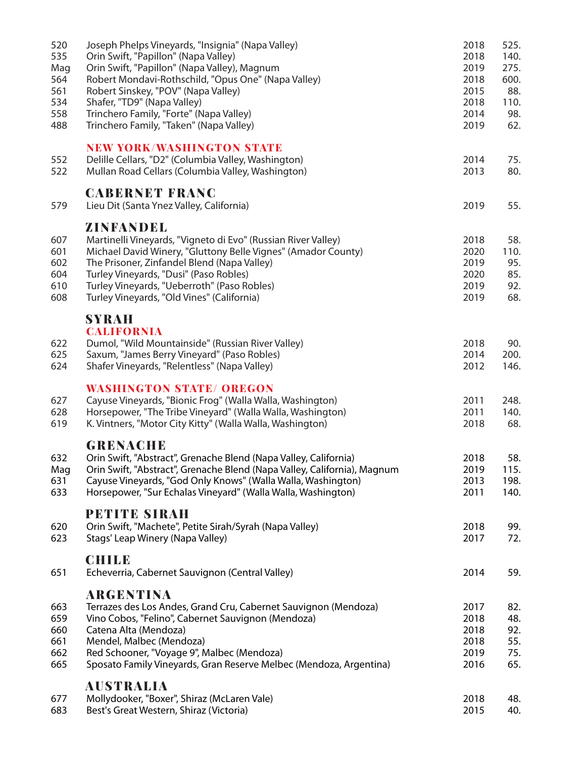| 520<br>535<br>Mag<br>564<br>561<br>534<br>558<br>488 | Joseph Phelps Vineyards, "Insignia" (Napa Valley)<br>Orin Swift, "Papillon" (Napa Valley)<br>Orin Swift, "Papillon" (Napa Valley), Magnum<br>Robert Mondavi-Rothschild, "Opus One" (Napa Valley)<br>Robert Sinskey, "POV" (Napa Valley)<br>Shafer, "TD9" (Napa Valley)<br>Trinchero Family, "Forte" (Napa Valley)<br>Trinchero Family, "Taken" (Napa Valley) | 2018<br>2018<br>2019<br>2018<br>2015<br>2018<br>2014<br>2019 | 525.<br>140.<br>275.<br>600.<br>88.<br>110.<br>98.<br>62. |
|------------------------------------------------------|--------------------------------------------------------------------------------------------------------------------------------------------------------------------------------------------------------------------------------------------------------------------------------------------------------------------------------------------------------------|--------------------------------------------------------------|-----------------------------------------------------------|
| 552<br>522                                           | <b>NEW YORK/WASHINGTON STATE</b><br>Delille Cellars, "D2" (Columbia Valley, Washington)<br>Mullan Road Cellars (Columbia Valley, Washington)                                                                                                                                                                                                                 | 2014<br>2013                                                 | 75.<br>80.                                                |
| 579                                                  | <b>CABERNET FRANC</b><br>Lieu Dit (Santa Ynez Valley, California)                                                                                                                                                                                                                                                                                            | 2019                                                         | 55.                                                       |
| 607<br>601<br>602<br>604<br>610<br>608               | ZINFANDEL<br>Martinelli Vineyards, "Vigneto di Evo" (Russian River Valley)<br>Michael David Winery, "Gluttony Belle Vignes" (Amador County)<br>The Prisoner, Zinfandel Blend (Napa Valley)<br>Turley Vineyards, "Dusi" (Paso Robles)<br>Turley Vineyards, "Ueberroth" (Paso Robles)<br>Turley Vineyards, "Old Vines" (California)                            | 2018<br>2020<br>2019<br>2020<br>2019<br>2019                 | 58.<br>110.<br>95.<br>85.<br>92.<br>68.                   |
| 622<br>625<br>624                                    | <b>SYRAH</b><br><b>CALIFORNIA</b><br>Dumol, "Wild Mountainside" (Russian River Valley)<br>Saxum, "James Berry Vineyard" (Paso Robles)<br>Shafer Vineyards, "Relentless" (Napa Valley)                                                                                                                                                                        | 2018<br>2014<br>2012                                         | 90.<br>200.<br>146.                                       |
| 627<br>628<br>619                                    | <b>WASHINGTON STATE/ OREGON</b><br>Cayuse Vineyards, "Bionic Frog" (Walla Walla, Washington)<br>Horsepower, "The Tribe Vineyard" (Walla Walla, Washington)<br>K. Vintners, "Motor City Kitty" (Walla Walla, Washington)                                                                                                                                      | 2011<br>2011<br>2018                                         | 248.<br>140.<br>68.                                       |
| 632<br>Mag<br>631<br>633                             | <b>GRENACHE</b><br>Orin Swift, "Abstract", Grenache Blend (Napa Valley, California)<br>Orin Swift, "Abstract", Grenache Blend (Napa Valley, California), Magnum<br>Cayuse Vineyards, "God Only Knows" (Walla Walla, Washington)<br>Horsepower, "Sur Echalas Vineyard" (Walla Walla, Washington)                                                              | 2018<br>2019<br>2013<br>2011                                 | 58.<br>115.<br>198.<br>140.                               |
| 620<br>623                                           | <b>PETITE SIRAH</b><br>Orin Swift, "Machete", Petite Sirah/Syrah (Napa Valley)<br>Stags' Leap Winery (Napa Valley)                                                                                                                                                                                                                                           | 2018<br>2017                                                 | 99.<br>72.                                                |
| 651                                                  | <b>CHILE</b><br>Echeverria, Cabernet Sauvignon (Central Valley)                                                                                                                                                                                                                                                                                              | 2014                                                         | 59.                                                       |
| 663<br>659<br>660<br>661<br>662<br>665               | <b>ARGENTINA</b><br>Terrazes des Los Andes, Grand Cru, Cabernet Sauvignon (Mendoza)<br>Vino Cobos, "Felino", Cabernet Sauvignon (Mendoza)<br>Catena Alta (Mendoza)<br>Mendel, Malbec (Mendoza)<br>Red Schooner, "Voyage 9", Malbec (Mendoza)<br>Sposato Family Vineyards, Gran Reserve Melbec (Mendoza, Argentina)                                           | 2017<br>2018<br>2018<br>2018<br>2019<br>2016                 | 82.<br>48.<br>92.<br>55.<br>75.<br>65.                    |
| 677<br>683                                           | <b>AUSTRALIA</b><br>Mollydooker, "Boxer", Shiraz (McLaren Vale)<br>Best's Great Western, Shiraz (Victoria)                                                                                                                                                                                                                                                   | 2018<br>2015                                                 | 48.<br>40.                                                |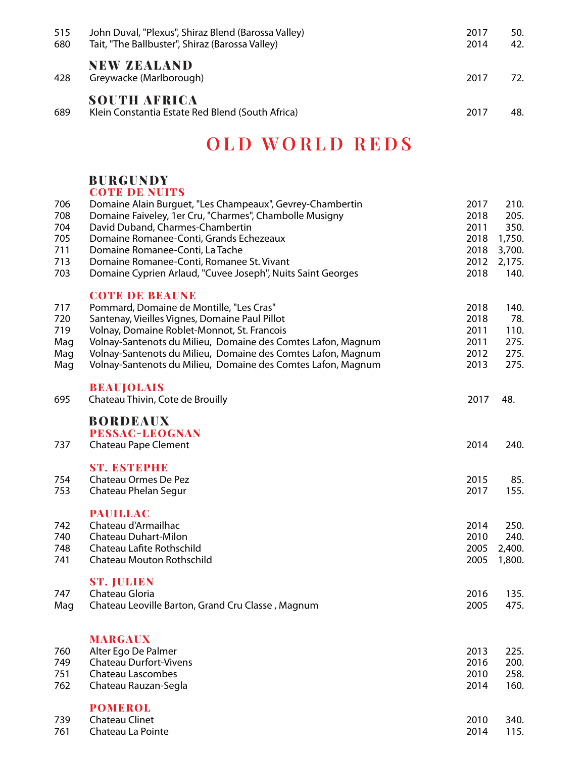| 515<br>680 | John Duval, "Plexus", Shiraz Blend (Barossa Valley)<br>Tait, "The Ballbuster", Shiraz (Barossa Valley) | 2017<br>2014 | 50.<br>42. |
|------------|--------------------------------------------------------------------------------------------------------|--------------|------------|
| 428        | <b>NEW ZEALAND</b><br>Greywacke (Marlborough)                                                          | 2017         | 72.        |
| 689        | <b>SOUTH AFRICA</b><br>Klein Constantia Estate Red Blend (South Africa)                                | 2017         | 48.        |

### **OLD WORLD REDS**

#### BURGUNDY **COTE DE NUITS**

| 706<br>708<br>704<br>705<br>711<br>713<br>703 | Domaine Alain Burguet, "Les Champeaux", Gevrey-Chambertin<br>Domaine Faiveley, 1er Cru, "Charmes", Chambolle Musigny<br>David Duband, Charmes-Chambertin<br>Domaine Romanee-Conti, Grands Echezeaux<br>Domaine Romanee-Conti, La Tache<br>Domaine Romanee-Conti, Romanee St. Vivant<br>Domaine Cyprien Arlaud, "Cuvee Joseph", Nuits Saint Georges                 | 2017<br>2018<br>2011<br>2018<br>2018<br>2012<br>2018 | 210.<br>205.<br>350.<br>1,750.<br>3,700.<br>2,175.<br>140. |
|-----------------------------------------------|--------------------------------------------------------------------------------------------------------------------------------------------------------------------------------------------------------------------------------------------------------------------------------------------------------------------------------------------------------------------|------------------------------------------------------|------------------------------------------------------------|
| 717<br>720<br>719<br>Mag<br>Mag<br>Mag        | <b>COTE DE BEAUNE</b><br>Pommard, Domaine de Montille, "Les Cras"<br>Santenay, Vieilles Vignes, Domaine Paul Pillot<br>Volnay, Domaine Roblet-Monnot, St. Francois<br>Volnay-Santenots du Milieu, Domaine des Comtes Lafon, Magnum<br>Volnay-Santenots du Milieu, Domaine des Comtes Lafon, Magnum<br>Volnay-Santenots du Milieu, Domaine des Comtes Lafon, Magnum | 2018<br>2018<br>2011<br>2011<br>2012<br>2013         | 140.<br>78.<br>110.<br>275.<br>275.<br>275.                |
| 695                                           | <b>BEAUJOLAIS</b><br>Chateau Thivin, Cote de Brouilly                                                                                                                                                                                                                                                                                                              | 2017                                                 | 48.                                                        |
| 737                                           | <b>BORDEAUX</b><br><b>PESSAC-LEOGNAN</b><br>Chateau Pape Clement                                                                                                                                                                                                                                                                                                   | 2014                                                 | 240.                                                       |
| 754<br>753                                    | <b>ST. ESTEPHE</b><br>Chateau Ormes De Pez<br>Chateau Phelan Segur                                                                                                                                                                                                                                                                                                 | 2015<br>2017                                         | 85.<br>155.                                                |
| 742<br>740<br>748<br>741                      | <b>PAUILLAC</b><br>Chateau d'Armailhac<br>Chateau Duhart-Milon<br>Chateau Lafite Rothschild<br>Chateau Mouton Rothschild                                                                                                                                                                                                                                           | 2014<br>2010<br>2005<br>2005                         | 250.<br>240.<br>2,400.<br>1,800.                           |
| 747<br>Mag                                    | <b>ST. JULIEN</b><br>Chateau Gloria<br>Chateau Leoville Barton, Grand Cru Classe, Magnum                                                                                                                                                                                                                                                                           | 2016<br>2005                                         | 135.<br>475.                                               |
| 760<br>749<br>751<br>762                      | <b>MARGAUX</b><br>Alter Ego De Palmer<br><b>Chateau Durfort-Vivens</b><br><b>Chateau Lascombes</b><br>Chateau Rauzan-Segla                                                                                                                                                                                                                                         | 2013<br>2016<br>2010<br>2014                         | 225.<br>200.<br>258.<br>160.                               |
| 739<br>761                                    | <b>POMEROL</b><br><b>Chateau Clinet</b><br>Chateau La Pointe                                                                                                                                                                                                                                                                                                       | 2010<br>2014                                         | 340.<br>115.                                               |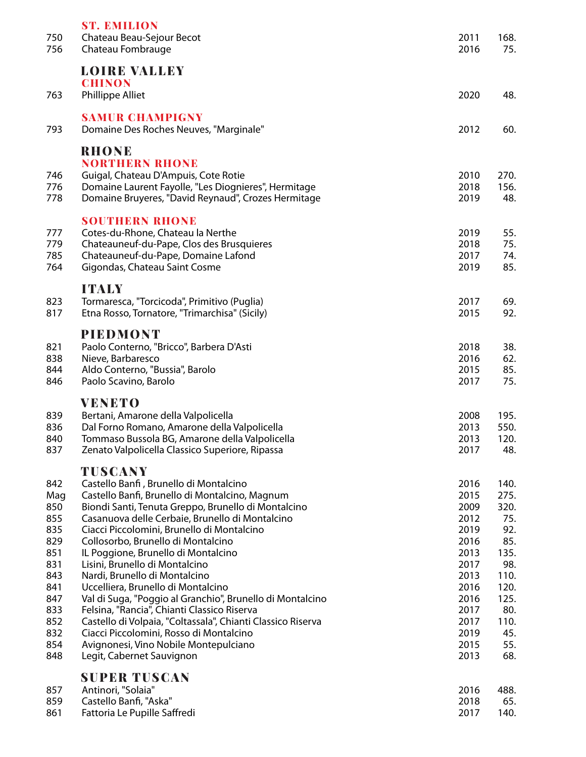| 750<br>756                                                                                                   | <b>ST. EMILION</b><br>Chateau Beau-Sejour Becot<br>Chateau Fombrauge                                                                                                                                                                                                                                                                                                                                                                                                                                                                                                                                                                                                                                                                          | 2011<br>2016                                                                                                                 | 168.<br>75.                                                                                                          |
|--------------------------------------------------------------------------------------------------------------|-----------------------------------------------------------------------------------------------------------------------------------------------------------------------------------------------------------------------------------------------------------------------------------------------------------------------------------------------------------------------------------------------------------------------------------------------------------------------------------------------------------------------------------------------------------------------------------------------------------------------------------------------------------------------------------------------------------------------------------------------|------------------------------------------------------------------------------------------------------------------------------|----------------------------------------------------------------------------------------------------------------------|
| 763                                                                                                          | <b>LOIRE VALLEY</b><br><b>CHINON</b><br>Phillippe Alliet                                                                                                                                                                                                                                                                                                                                                                                                                                                                                                                                                                                                                                                                                      | 2020                                                                                                                         | 48.                                                                                                                  |
| 793                                                                                                          | <b>SAMUR CHAMPIGNY</b><br>Domaine Des Roches Neuves, "Marginale"                                                                                                                                                                                                                                                                                                                                                                                                                                                                                                                                                                                                                                                                              | 2012                                                                                                                         | 60.                                                                                                                  |
| 746<br>776<br>778                                                                                            | <b>RHONE</b><br><b>NORTHERN RHONE</b><br>Guigal, Chateau D'Ampuis, Cote Rotie<br>Domaine Laurent Fayolle, "Les Diognieres", Hermitage<br>Domaine Bruyeres, "David Reynaud", Crozes Hermitage                                                                                                                                                                                                                                                                                                                                                                                                                                                                                                                                                  | 2010<br>2018<br>2019                                                                                                         | 270.<br>156.<br>48.                                                                                                  |
| 777<br>779<br>785<br>764                                                                                     | <b>SOUTHERN RHONE</b><br>Cotes-du-Rhone, Chateau la Nerthe<br>Chateauneuf-du-Pape, Clos des Brusquieres<br>Chateauneuf-du-Pape, Domaine Lafond<br>Gigondas, Chateau Saint Cosme                                                                                                                                                                                                                                                                                                                                                                                                                                                                                                                                                               | 2019<br>2018<br>2017<br>2019                                                                                                 | 55.<br>75.<br>74.<br>85.                                                                                             |
| 823<br>817                                                                                                   | <b>ITALY</b><br>Tormaresca, "Torcicoda", Primitivo (Puglia)<br>Etna Rosso, Tornatore, "Trimarchisa" (Sicily)                                                                                                                                                                                                                                                                                                                                                                                                                                                                                                                                                                                                                                  | 2017<br>2015                                                                                                                 | 69.<br>92.                                                                                                           |
| 821<br>838<br>844<br>846                                                                                     | <b>PIEDMONT</b><br>Paolo Conterno, "Bricco", Barbera D'Asti<br>Nieve, Barbaresco<br>Aldo Conterno, "Bussia", Barolo<br>Paolo Scavino, Barolo                                                                                                                                                                                                                                                                                                                                                                                                                                                                                                                                                                                                  | 2018<br>2016<br>2015<br>2017                                                                                                 | 38.<br>62.<br>85.<br>75.                                                                                             |
| 839<br>836<br>840<br>837                                                                                     | <b>VENETO</b><br>Bertani, Amarone della Valpolicella<br>Dal Forno Romano, Amarone della Valpolicella<br>Tommaso Bussola BG, Amarone della Valpolicella<br>Zenato Valpolicella Classico Superiore, Ripassa                                                                                                                                                                                                                                                                                                                                                                                                                                                                                                                                     | 2008<br>2013<br>2013<br>2017                                                                                                 | 195.<br>550.<br>120.<br>48.                                                                                          |
| 842<br>Mag<br>850<br>855<br>835<br>829<br>851<br>831<br>843<br>841<br>847<br>833<br>852<br>832<br>854<br>848 | TUSCANY<br>Castello Banfi, Brunello di Montalcino<br>Castello Banfi, Brunello di Montalcino, Magnum<br>Biondi Santi, Tenuta Greppo, Brunello di Montalcino<br>Casanuova delle Cerbaie, Brunello di Montalcino<br>Ciacci Piccolomini, Brunello di Montalcino<br>Collosorbo, Brunello di Montalcino<br>IL Poggione, Brunello di Montalcino<br>Lisini, Brunello di Montalcino<br>Nardi, Brunello di Montalcino<br>Uccelliera, Brunello di Montalcino<br>Val di Suga, "Poggio al Granchio", Brunello di Montalcino<br>Felsina, "Rancia", Chianti Classico Riserva<br>Castello di Volpaia, "Coltassala", Chianti Classico Riserva<br>Ciacci Piccolomini, Rosso di Montalcino<br>Avignonesi, Vino Nobile Montepulciano<br>Legit, Cabernet Sauvignon | 2016<br>2015<br>2009<br>2012<br>2019<br>2016<br>2013<br>2017<br>2013<br>2016<br>2016<br>2017<br>2017<br>2019<br>2015<br>2013 | 140.<br>275.<br>320.<br>75.<br>92.<br>85.<br>135.<br>98.<br>110.<br>120.<br>125.<br>80.<br>110.<br>45.<br>55.<br>68. |
| 857<br>859<br>861                                                                                            | <b>SUPER TUSCAN</b><br>Antinori, "Solaia"<br>Castello Banfi, "Aska"<br>Fattoria Le Pupille Saffredi                                                                                                                                                                                                                                                                                                                                                                                                                                                                                                                                                                                                                                           | 2016<br>2018<br>2017                                                                                                         | 488.<br>65.<br>140.                                                                                                  |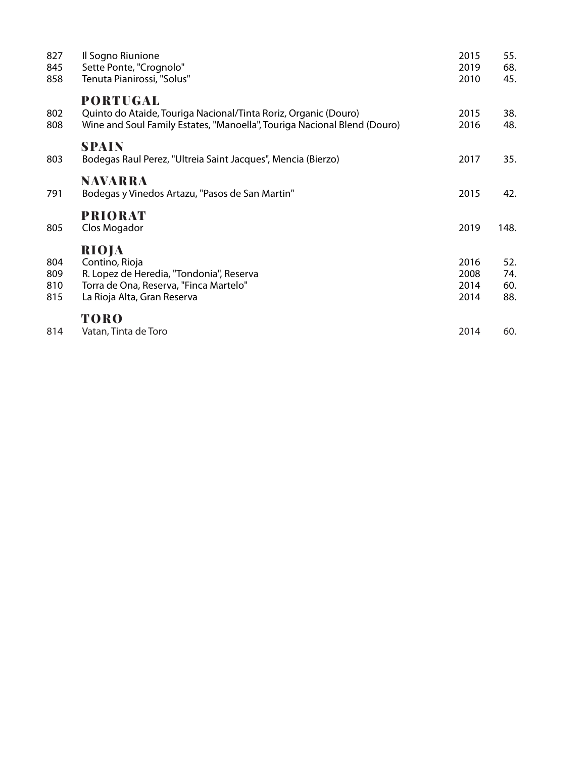| 827<br>845<br>858        | Il Sogno Riunione<br>Sette Ponte, "Crognolo"<br>Tenuta Pianirossi, "Solus"                                                                                     | 2015<br>2019<br>2010         | 55.<br>68.<br>45.        |
|--------------------------|----------------------------------------------------------------------------------------------------------------------------------------------------------------|------------------------------|--------------------------|
| 802<br>808               | <b>PORTUGAL</b><br>Quinto do Ataide, Touriga Nacional/Tinta Roriz, Organic (Douro)<br>Wine and Soul Family Estates, "Manoella", Touriga Nacional Blend (Douro) | 2015<br>2016                 | 38.<br>48.               |
| 803                      | <b>SPAIN</b><br>Bodegas Raul Perez, "Ultreia Saint Jacques", Mencia (Bierzo)                                                                                   | 2017                         | 35.                      |
| 791                      | NAVARRA<br>Bodegas y Vinedos Artazu, "Pasos de San Martin"                                                                                                     | 2015                         | 42.                      |
| 805                      | <b>PRIORAT</b><br>Clos Mogador                                                                                                                                 | 2019                         | 148.                     |
| 804<br>809<br>810<br>815 | RIOJA<br>Contino, Rioja<br>R. Lopez de Heredia, "Tondonia", Reserva<br>Torra de Ona, Reserva, "Finca Martelo"<br>La Rioja Alta, Gran Reserva                   | 2016<br>2008<br>2014<br>2014 | 52.<br>74.<br>60.<br>88. |
| 814                      | <b>TORO</b><br>Vatan, Tinta de Toro                                                                                                                            | 2014                         | 60.                      |